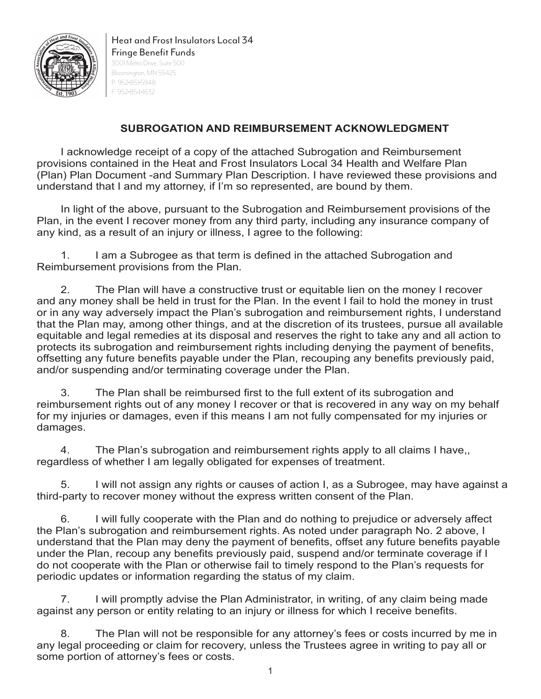

Heat and Frost Insulators Local 34 Fringe Benefit Funds 3001 Metro Drive, Suite 500 Bloomington, MN 55425 P: 952•851•5948 F: 952•854•1632

## **SUBROGATION AND REIMBURSEMENT ACKNOWLEDGMENT**

I acknowledge receipt of a copy of the attached Subrogation and Reimbursement provisions contained in the Heat and Frost Insulators Local 34 Health and Welfare Plan (Plan) Plan Document -and Summary Plan Description. I have reviewed these provisions and understand that I and my attorney, if I'm so represented, are bound by them.

In light of the above, pursuant to the Subrogation and Reimbursement provisions of the Plan, in the event I recover money from any third party, including any insurance company of any kind, as a result of an injury or illness, I agree to the following:

1. I am a Subrogee as that term is defined in the attached Subrogation and Reimbursement provisions from the Plan.

2. The Plan will have a constructive trust or equitable lien on the money I recover and any money shall be held in trust for the Plan. In the event I fail to hold the money in trust or in any way adversely impact the Plan's subrogation and reimbursement rights, I understand that the Plan may, among other things, and at the discretion of its trustees, pursue all available equitable and legal remedies at its disposal and reserves the right to take any and all action to protects its subrogation and reimbursement rights including denying the payment of benefits, offsetting any future benefits payable under the Plan, recouping any benefits previously paid, and/or suspending and/or terminating coverage under the Plan.

3. The Plan shall be reimbursed first to the full extent of its subrogation and reimbursement rights out of any money I recover or that is recovered in any way on my behalf for my injuries or damages, even if this means I am not fully compensated for my injuries or damages.

4. The Plan's subrogation and reimbursement rights apply to all claims I have,, regardless of whether I am legally obligated for expenses of treatment.

5. I will not assign any rights or causes of action I, as a Subrogee, may have against a third-party to recover money without the express written consent of the Plan.

6. I will fully cooperate with the Plan and do nothing to prejudice or adversely affect the Plan's subrogation and reimbursement rights. As noted under paragraph No. 2 above, I understand that the Plan may deny the payment of benefits, offset any future benefits payable under the Plan, recoup any benefits previously paid, suspend and/or terminate coverage if I do not cooperate with the Plan or otherwise fail to timely respond to the Plan's requests for periodic updates or information regarding the status of my claim.

7. I will promptly advise the Plan Administrator, in writing, of any claim being made against any person or entity relating to an injury or illness for which I receive benefits.

8. The Plan will not be responsible for any attorney's fees or costs incurred by me in any legal proceeding or claim for recovery, unless the Trustees agree in writing to pay all or some portion of attorney's fees or costs.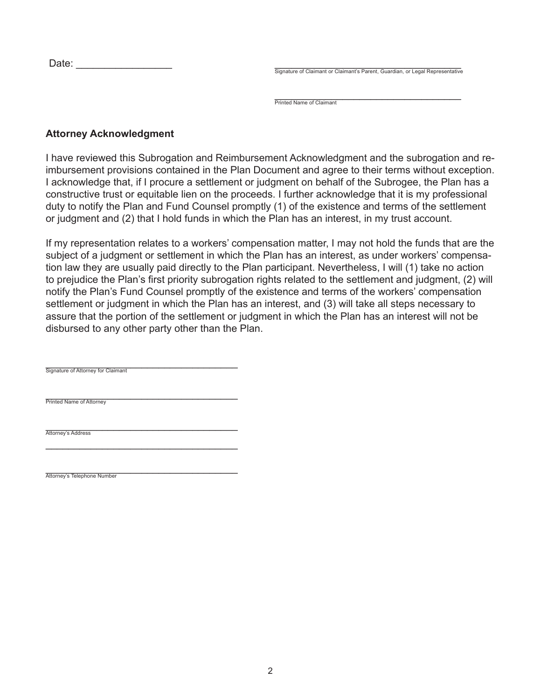| Date: |  |
|-------|--|
|       |  |

Signature of Claimant or Claimant's Parent, Guardian, or Legal Representative

\_\_\_\_\_\_\_\_\_\_\_\_\_\_\_\_\_\_\_\_\_\_\_\_\_\_\_\_\_\_\_\_\_ Printed Name of Claimant

## **Attorney Acknowledgment**

I have reviewed this Subrogation and Reimbursement Acknowledgment and the subrogation and reimbursement provisions contained in the Plan Document and agree to their terms without exception. I acknowledge that, if I procure a settlement or judgment on behalf of the Subrogee, the Plan has a constructive trust or equitable lien on the proceeds. I further acknowledge that it is my professional duty to notify the Plan and Fund Counsel promptly (1) of the existence and terms of the settlement or judgment and (2) that I hold funds in which the Plan has an interest, in my trust account.

If my representation relates to a workers' compensation matter, I may not hold the funds that are the subject of a judgment or settlement in which the Plan has an interest, as under workers' compensation law they are usually paid directly to the Plan participant. Nevertheless, I will (1) take no action to prejudice the Plan's first priority subrogation rights related to the settlement and judgment, (2) will notify the Plan's Fund Counsel promptly of the existence and terms of the workers' compensation settlement or judgment in which the Plan has an interest, and (3) will take all steps necessary to assure that the portion of the settlement or judgment in which the Plan has an interest will not be disbursed to any other party other than the Plan.

\_\_\_\_\_\_\_\_\_\_\_\_\_\_\_\_\_\_\_\_\_\_\_\_\_\_\_\_\_\_\_\_\_\_ Signature of Attorney for Claimant

\_\_\_\_\_\_\_\_\_\_\_\_\_\_\_\_\_\_\_\_\_\_\_\_\_\_\_\_\_\_\_\_\_\_

\_\_\_\_\_\_\_\_\_\_\_\_\_\_\_\_\_\_\_\_\_\_\_\_\_\_\_\_\_\_\_\_\_\_ Printed Name of Attorney

\_\_\_\_\_\_\_\_\_\_\_\_\_\_\_\_\_\_\_\_\_\_\_\_\_\_\_\_\_\_\_\_\_\_ Attorney's Address

\_\_\_\_\_\_\_\_\_\_\_\_\_\_\_\_\_\_\_\_\_\_\_\_\_\_\_\_\_\_\_\_\_\_ Attorney's Telephone Number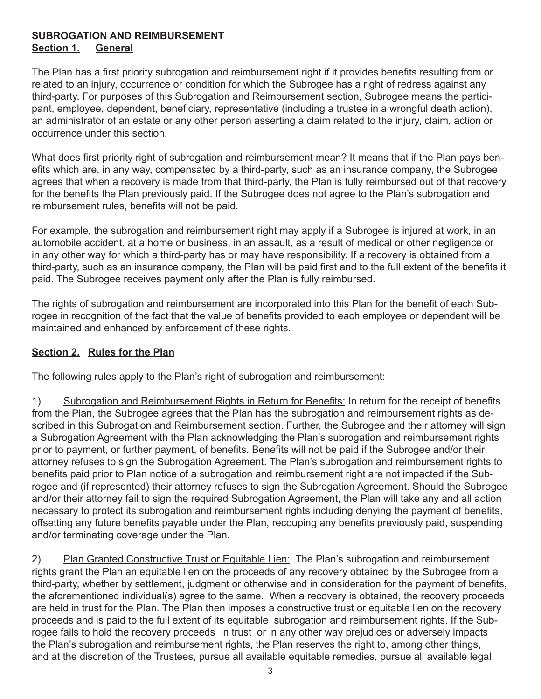## **SUBROGATION AND REIMBURSEMENT Section 1. General**

The Plan has a first priority subrogation and reimbursement right if it provides benefits resulting from or related to an injury, occurrence or condition for which the Subrogee has a right of redress against any third-party. For purposes of this Subrogation and Reimbursement section, Subrogee means the participant, employee, dependent, beneficiary, representative (including a trustee in a wrongful death action), an administrator of an estate or any other person asserting a claim related to the injury, claim, action or occurrence under this section.

What does first priority right of subrogation and reimbursement mean? It means that if the Plan pays benefits which are, in any way, compensated by a third-party, such as an insurance company, the Subrogee agrees that when a recovery is made from that third-party, the Plan is fully reimbursed out of that recovery for the benefits the Plan previously paid. If the Subrogee does not agree to the Plan's subrogation and reimbursement rules, benefits will not be paid.

For example, the subrogation and reimbursement right may apply if a Subrogee is injured at work, in an automobile accident, at a home or business, in an assault, as a result of medical or other negligence or in any other way for which a third-party has or may have responsibility. If a recovery is obtained from a third-party, such as an insurance company, the Plan will be paid first and to the full extent of the benefits it paid. The Subrogee receives payment only after the Plan is fully reimbursed.

The rights of subrogation and reimbursement are incorporated into this Plan for the benefit of each Subrogee in recognition of the fact that the value of benefits provided to each employee or dependent will be maintained and enhanced by enforcement of these rights.

## **Section 2. Rules for the Plan**

The following rules apply to the Plan's right of subrogation and reimbursement:

1) Subrogation and Reimbursement Rights in Return for Benefits: In return for the receipt of benefits from the Plan, the Subrogee agrees that the Plan has the subrogation and reimbursement rights as described in this Subrogation and Reimbursement section. Further, the Subrogee and their attorney will sign a Subrogation Agreement with the Plan acknowledging the Plan's subrogation and reimbursement rights prior to payment, or further payment, of benefits. Benefits will not be paid if the Subrogee and/or their attorney refuses to sign the Subrogation Agreement. The Plan's subrogation and reimbursement rights to benefits paid prior to Plan notice of a subrogation and reimbursement right are not impacted if the Subrogee and (if represented) their attorney refuses to sign the Subrogation Agreement. Should the Subrogee and/or their attorney fail to sign the required Subrogation Agreement, the Plan will take any and all action necessary to protect its subrogation and reimbursement rights including denying the payment of benefits, offsetting any future benefits payable under the Plan, recouping any benefits previously paid, suspending and/or terminating coverage under the Plan.

2) Plan Granted Constructive Trust or Equitable Lien: The Plan's subrogation and reimbursement rights grant the Plan an equitable lien on the proceeds of any recovery obtained by the Subrogee from a third-party, whether by settlement, judgment or otherwise and in consideration for the payment of benefits, the aforementioned individual(s) agree to the same. When a recovery is obtained, the recovery proceeds are held in trust for the Plan. The Plan then imposes a constructive trust or equitable lien on the recovery proceeds and is paid to the full extent of its equitable subrogation and reimbursement rights. If the Subrogee fails to hold the recovery proceeds in trust or in any other way prejudices or adversely impacts the Plan's subrogation and reimbursement rights, the Plan reserves the right to, among other things, and at the discretion of the Trustees, pursue all available equitable remedies, pursue all available legal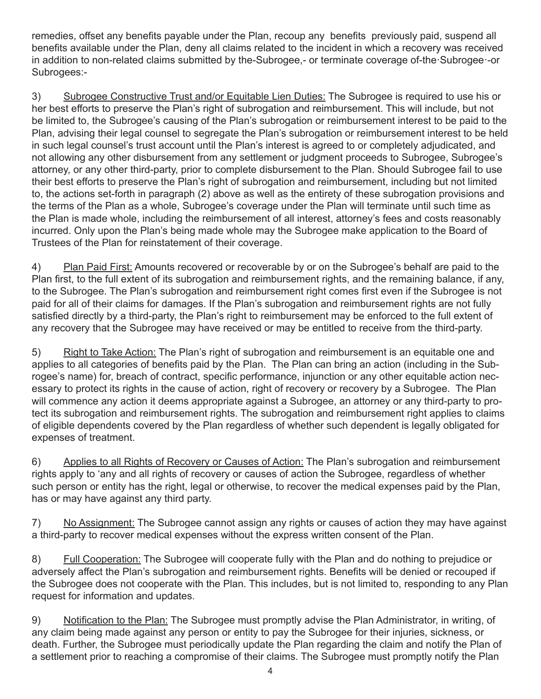remedies, offset any benefits payable under the Plan, recoup any benefits previously paid, suspend all benefits available under the Plan, deny all claims related to the incident in which a recovery was received in addition to non-related claims submitted by the-Subrogee,- or terminate coverage of-the·Subrogee·-or Subrogees:-

3) Subrogee Constructive Trust and/or Equitable Lien Duties: The Subrogee is required to use his or her best efforts to preserve the Plan's right of subrogation and reimbursement. This will include, but not be limited to, the Subrogee's causing of the Plan's subrogation or reimbursement interest to be paid to the Plan, advising their legal counsel to segregate the Plan's subrogation or reimbursement interest to be held in such legal counsel's trust account until the Plan's interest is agreed to or completely adjudicated, and not allowing any other disbursement from any settlement or judgment proceeds to Subrogee, Subrogee's attorney, or any other third-party, prior to complete disbursement to the Plan. Should Subrogee fail to use their best efforts to preserve the Plan's right of subrogation and reimbursement, including but not limited to, the actions set-forth in paragraph (2) above as well as the entirety of these subrogation provisions and the terms of the Plan as a whole, Subrogee's coverage under the Plan will terminate until such time as the Plan is made whole, including the reimbursement of all interest, attorney's fees and costs reasonably incurred. Only upon the Plan's being made whole may the Subrogee make application to the Board of Trustees of the Plan for reinstatement of their coverage.

4) Plan Paid First: Amounts recovered or recoverable by or on the Subrogee's behalf are paid to the Plan first, to the full extent of its subrogation and reimbursement rights, and the remaining balance, if any, to the Subrogee. The Plan's subrogation and reimbursement right comes first even if the Subrogee is not paid for all of their claims for damages. If the Plan's subrogation and reimbursement rights are not fully satisfied directly by a third-party, the Plan's right to reimbursement may be enforced to the full extent of any recovery that the Subrogee may have received or may be entitled to receive from the third-party.

5) Right to Take Action: The Plan's right of subrogation and reimbursement is an equitable one and applies to all categories of benefits paid by the Plan. The Plan can bring an action (including in the Subrogee's name) for, breach of contract, specific performance, injunction or any other equitable action necessary to protect its rights in the cause of action, right of recovery or recovery by a Subrogee. The Plan will commence any action it deems appropriate against a Subrogee, an attorney or any third-party to protect its subrogation and reimbursement rights. The subrogation and reimbursement right applies to claims of eligible dependents covered by the Plan regardless of whether such dependent is legally obligated for expenses of treatment.

6) Applies to all Rights of Recovery or Causes of Action: The Plan's subrogation and reimbursement rights apply to 'any and all rights of recovery or causes of action the Subrogee, regardless of whether such person or entity has the right, legal or otherwise, to recover the medical expenses paid by the Plan, has or may have against any third party.

7) No Assignment: The Subrogee cannot assign any rights or causes of action they may have against a third-party to recover medical expenses without the express written consent of the Plan.

8) Full Cooperation: The Subrogee will cooperate fully with the Plan and do nothing to prejudice or adversely affect the Plan's subrogation and reimbursement rights. Benefits will be denied or recouped if the Subrogee does not cooperate with the Plan. This includes, but is not limited to, responding to any Plan request for information and updates.

9) Notification to the Plan: The Subrogee must promptly advise the Plan Administrator, in writing, of any claim being made against any person or entity to pay the Subrogee for their injuries, sickness, or death. Further, the Subrogee must periodically update the Plan regarding the claim and notify the Plan of a settlement prior to reaching a compromise of their claims. The Subrogee must promptly notify the Plan